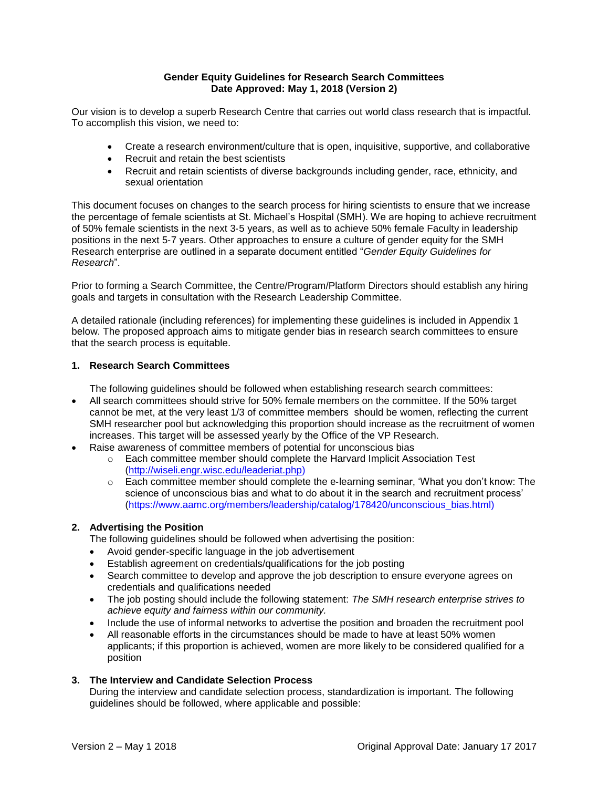## **Gender Equity Guidelines for Research Search Committees Date Approved: May 1, 2018 (Version 2)**

Our vision is to develop a superb Research Centre that carries out world class research that is impactful. To accomplish this vision, we need to:

- Create a research environment/culture that is open, inquisitive, supportive, and collaborative
- Recruit and retain the best scientists
- Recruit and retain scientists of diverse backgrounds including gender, race, ethnicity, and sexual orientation

This document focuses on changes to the search process for hiring scientists to ensure that we increase the percentage of female scientists at St. Michael's Hospital (SMH). We are hoping to achieve recruitment of 50% female scientists in the next 3‐5 years, as well as to achieve 50% female Faculty in leadership positions in the next 5‐7 years. Other approaches to ensure a culture of gender equity for the SMH Research enterprise are outlined in a separate document entitled "*Gender Equity Guidelines for Research*".

Prior to forming a Search Committee, the Centre/Program/Platform Directors should establish any hiring goals and targets in consultation with the Research Leadership Committee.

A detailed rationale (including references) for implementing these guidelines is included in Appendix 1 below. The proposed approach aims to mitigate gender bias in research search committees to ensure that the search process is equitable.

### **1. Research Search Committees**

The following guidelines should be followed when establishing research search committees:

- All search committees should strive for 50% female members on the committee. If the 50% target cannot be met, at the very least 1/3 of committee members should be women, reflecting the current SMH researcher pool but acknowledging this proportion should increase as the recruitment of women increases. This target will be assessed yearly by the Office of the VP Research.
- Raise awareness of committee members of potential for unconscious bias
	- o Each committee member should complete the Harvard Implicit Association Test [\(http://wiseli.engr.wisc.edu/leaderiat.php\)](http://wiseli.engr.wisc.edu/leaderiat.php)
	- o Each committee member should complete the e‐learning seminar, 'What you don't know: The science of unconscious bias and what to do about it in the search and recruitment process' (https://www.aamc.org/members/leadership/catalog/178420/unconscious\_bias.html)

# **2. Advertising the Position**

The following guidelines should be followed when advertising the position:

- Avoid gender‐specific language in the job advertisement
- Establish agreement on credentials/qualifications for the job posting
- Search committee to develop and approve the job description to ensure everyone agrees on credentials and qualifications needed
- The job posting should include the following statement: *The SMH research enterprise strives to achieve equity and fairness within our community.*
- Include the use of informal networks to advertise the position and broaden the recruitment pool
- All reasonable efforts in the circumstances should be made to have at least 50% women applicants; if this proportion is achieved, women are more likely to be considered qualified for a position

# **3. The Interview and Candidate Selection Process**

During the interview and candidate selection process, standardization is important. The following guidelines should be followed, where applicable and possible: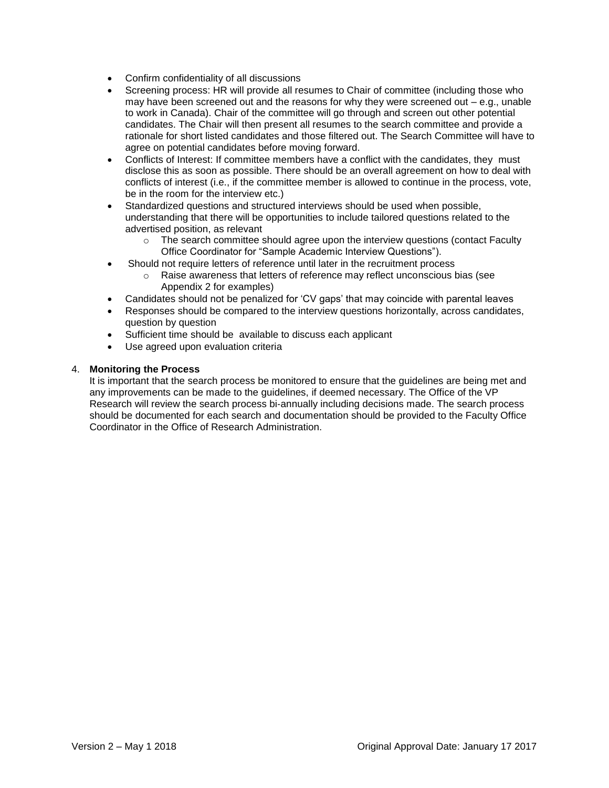- Confirm confidentiality of all discussions
- Screening process: HR will provide all resumes to Chair of committee (including those who may have been screened out and the reasons for why they were screened out  $-$  e.g., unable to work in Canada). Chair of the committee will go through and screen out other potential candidates. The Chair will then present all resumes to the search committee and provide a rationale for short listed candidates and those filtered out. The Search Committee will have to agree on potential candidates before moving forward.
- Conflicts of Interest: If committee members have a conflict with the candidates, they must disclose this as soon as possible. There should be an overall agreement on how to deal with conflicts of interest (i.e., if the committee member is allowed to continue in the process, vote, be in the room for the interview etc.)
- Standardized questions and structured interviews should be used when possible, understanding that there will be opportunities to include tailored questions related to the advertised position, as relevant
	- $\circ$  The search committee should agree upon the interview questions (contact Faculty Office Coordinator for "Sample Academic Interview Questions").
- Should not require letters of reference until later in the recruitment process
	- o Raise awareness that letters of reference may reflect unconscious bias (see Appendix 2 for examples)
- Candidates should not be penalized for 'CV gaps' that may coincide with parental leaves
- Responses should be compared to the interview questions horizontally, across candidates, question by question
- Sufficient time should be available to discuss each applicant
- Use agreed upon evaluation criteria

#### 4. **Monitoring the Process**

It is important that the search process be monitored to ensure that the guidelines are being met and any improvements can be made to the guidelines, if deemed necessary. The Office of the VP Research will review the search process bi-annually including decisions made. The search process should be documented for each search and documentation should be provided to the Faculty Office Coordinator in the Office of Research Administration.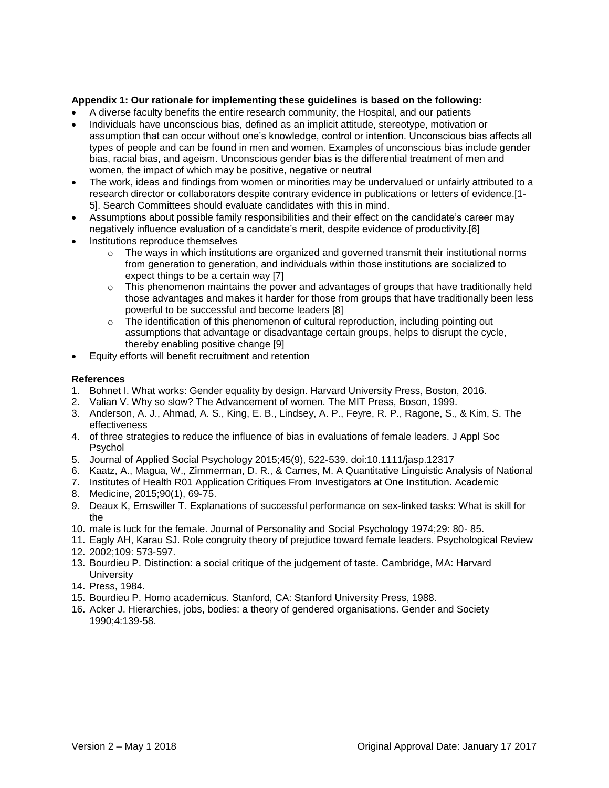### **Appendix 1: Our rationale for implementing these guidelines is based on the following:**

- A diverse faculty benefits the entire research community, the Hospital, and our patients
- Individuals have unconscious bias, defined as an implicit attitude, stereotype, motivation or assumption that can occur without one's knowledge, control or intention. Unconscious bias affects all types of people and can be found in men and women. Examples of unconscious bias include gender bias, racial bias, and ageism. Unconscious gender bias is the differential treatment of men and women, the impact of which may be positive, negative or neutral
- The work, ideas and findings from women or minorities may be undervalued or unfairly attributed to a research director or collaborators despite contrary evidence in publications or letters of evidence.[1‐ 5]. Search Committees should evaluate candidates with this in mind.
- Assumptions about possible family responsibilities and their effect on the candidate's career may negatively influence evaluation of a candidate's merit, despite evidence of productivity.[6]
- Institutions reproduce themselves
	- $\circ$  The ways in which institutions are organized and governed transmit their institutional norms from generation to generation, and individuals within those institutions are socialized to expect things to be a certain way [7]
	- $\circ$  This phenomenon maintains the power and advantages of groups that have traditionally held those advantages and makes it harder for those from groups that have traditionally been less powerful to be successful and become leaders [8]
	- $\circ$  The identification of this phenomenon of cultural reproduction, including pointing out assumptions that advantage or disadvantage certain groups, helps to disrupt the cycle, thereby enabling positive change [9]
- Equity efforts will benefit recruitment and retention

#### **References**

- 1. Bohnet I. What works: Gender equality by design. Harvard University Press, Boston, 2016.
- 2. Valian V. Why so slow? The Advancement of women. The MIT Press, Boson, 1999.
- 3. Anderson, A. J., Ahmad, A. S., King, E. B., Lindsey, A. P., Feyre, R. P., Ragone, S., & Kim, S. The effectiveness
- 4. of three strategies to reduce the influence of bias in evaluations of female leaders. J Appl Soc Psychol
- 5. Journal of Applied Social Psychology 2015;45(9), 522‐539. doi:10.1111/jasp.12317
- 6. Kaatz, A., Magua, W., Zimmerman, D. R., & Carnes, M. A Quantitative Linguistic Analysis of National
- 7. Institutes of Health R01 Application Critiques From Investigators at One Institution. Academic
- 8. Medicine, 2015;90(1), 69‐75.
- 9. Deaux K, Emswiller T. Explanations of successful performance on sex‐linked tasks: What is skill for the
- 10. male is luck for the female. Journal of Personality and Social Psychology 1974;29: 80‐ 85.
- 11. Eagly AH, Karau SJ. Role congruity theory of prejudice toward female leaders. Psychological Review
- 12. 2002;109: 573‐597.
- 13. Bourdieu P. Distinction: a social critique of the judgement of taste. Cambridge, MA: Harvard **University**
- 14. Press, 1984.
- 15. Bourdieu P. Homo academicus. Stanford, CA: Stanford University Press, 1988.
- 16. Acker J. Hierarchies, jobs, bodies: a theory of gendered organisations. Gender and Society 1990;4:139‐58.